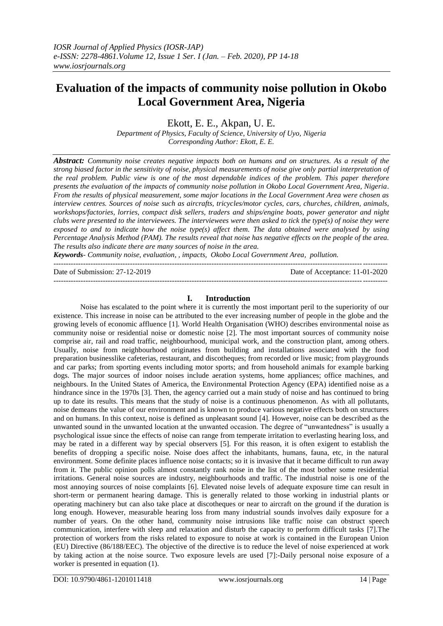# **Evaluation of the impacts of community noise pollution in Okobo Local Government Area, Nigeria**

Ekott, E. E., Akpan, U. E.

*Department of Physics, Faculty of Science, University of Uyo, Nigeria Corresponding Author: Ekott, E. E.*

*Abstract: Community noise creates negative impacts both on humans and on structures. As a result of the strong biased factor in the sensitivity of noise, physical measurements of noise give only partial interpretation of the real problem. Public view is one of the most dependable indices of the problem. This paper therefore presents the evaluation of the impacts of community noise pollution in Okobo Local Government Area, Nigeria. From the results of physical measurement, some major locations in the Local Government Area were chosen as interview centres. Sources of noise such as aircrafts, tricycles/motor cycles, cars, churches, children, animals, workshops/factories, lorries, compact disk sellers, traders and ships/engine boats, power generator and night clubs were presented to the interviewees. The interviewees were then asked to tick the type(s) of noise they were exposed to and to indicate how the noise type(s) affect them. The data obtained were analysed by using Percentage Analysis Method (PAM). The results reveal that noise has negative effects on the people of the area. The results also indicate there are many sources of noise in the area.* 

*Keywords- Community noise, evaluation, , impacts, Okobo Local Government Area, pollution.* ---------------------------------------------------------------------------------------------------------------------------------------

Date of Submission: 27-12-2019 Date of Acceptance: 11-01-2020

## **I. Introduction**

---------------------------------------------------------------------------------------------------------------------------------------

Noise has escalated to the point where it is currently the most important peril to the superiority of our existence. This increase in noise can be attributed to the ever increasing number of people in the globe and the growing levels of economic affluence [1]. World Health Organisation (WHO) describes environmental noise as community noise or residential noise or domestic noise [2]. The most important sources of community noise comprise air, rail and road traffic, neighbourhood, municipal work, and the construction plant, among others. Usually, noise from neighbourhood originates from building and installations associated with the food preparation businesslike cafeterias, restaurant, and discotheques; from recorded or live music; from playgrounds and car parks; from sporting events including motor sports; and from household animals for example barking dogs. The major sources of indoor noises include aeration systems, home appliances; office machines, and neighbours. In the United States of America, the Environmental Protection Agency (EPA) identified noise as a hindrance since in the 1970s [3]. Then, the agency carried out a main study of noise and has continued to bring up to date its results. This means that the study of noise is a continuous phenomenon. As with all pollutants, noise demeans the value of our environment and is known to produce various negative effects both on structures and on humans. In this context, noise is defined as unpleasant sound [4]. However, noise can be described as the unwanted sound in the unwanted location at the unwanted occasion. The degree of "unwantedness" is usually a psychological issue since the effects of noise can range from temperate irritation to everlasting hearing loss, and may be rated in a different way by special observers [5]. For this reason, it is often exigent to establish the benefits of dropping a specific noise. Noise does affect the inhabitants, humans, fauna, etc, in the natural environment. Some definite places influence noise contacts; so it is invasive that it became difficult to run away from it. The public opinion polls almost constantly rank noise in the list of the most bother some residential irritations. General noise sources are industry, neighbourhoods and traffic. The industrial noise is one of the most annoying sources of noise complaints [6]. Elevated noise levels of adequate exposure time can result in short-term or permanent hearing damage. This is generally related to those working in industrial plants or operating machinery but can also take place at discotheques or near to aircraft on the ground if the duration is long enough. However, measurable hearing loss from many industrial sounds involves daily exposure for a number of years. On the other hand, community noise intrusions like traffic noise can obstruct speech communication, interfere with sleep and relaxation and disturb the capacity to perform difficult tasks [7].The protection of workers from the risks related to exposure to noise at work is contained in the European Union (EU) Directive (86/188/EEC). The objective of the directive is to reduce the level of noise experienced at work by taking action at the noise source. Two exposure levels are used [7]:-Daily personal noise exposure of a worker is presented in equation (1).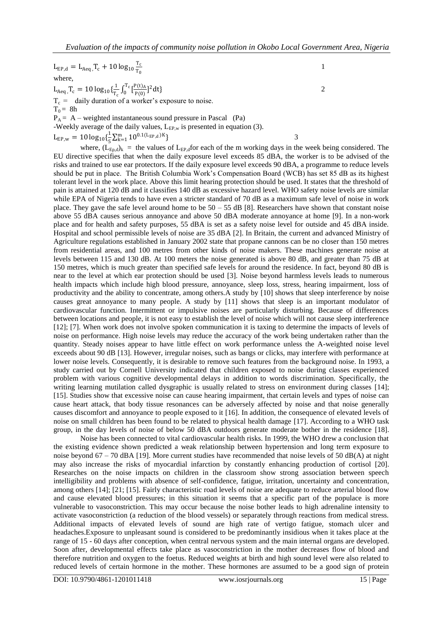$$
L_{EP,d} = L_{Aeq}, T_c + 10 \log_{10} \frac{T_c}{T_0}
$$
  
\nwhere,  
\n
$$
L_{Aeq}, T_c = 10 \log_{10} {\frac{1}{T_c} \int_0^{T_c} \left[ \frac{P(t)_{A}}{P(0)} \right]^2 dt}
$$
  
\n
$$
T_c = \text{ daily duration of a worker's exposure to noise.}
$$
  
\n
$$
T_0 = 8h
$$
  
\n
$$
P_A = A - weighted instantaneous sound pressure in Pascal (Pa)
$$
  
\n-Weekly average of the daily values,  $L_{EP,w}$  is presented in equation (3).  
\n
$$
L_{EP,w} = 10 \log_{10} {\frac{1}{5} \sum_{k=1}^{m} 10^{0.1(L_{EP,d})K}}
$$

where,  $(L_{\text{End}})_k$  = the values of  $L_{\text{EP,d}}$  for each of the m working days in the week being considered. The EU directive specifies that when the daily exposure level exceeds 85 dBA, the worker is to be advised of the risks and trained to use ear protectors. If the daily exposure level exceeds 90 dBA, a programme to reduce levels should be put in place. The British Columbia Work's Compensation Board (WCB) has set 85 dB as its highest tolerant level in the work place. Above this limit hearing protection should be used. It states that the threshold of pain is attained at 120 dB and it classifies 140 dB as excessive hazard level. WHO safety noise levels are similar while EPA of Nigeria tends to have even a stricter standard of 70 dB as a maximum safe level of noise in work place. They gave the safe level around home to be  $50 - 55$  dB [8]. Researchers have shown that constant noise above 55 dBA causes serious annoyance and above 50 dBA moderate annoyance at home [9]. In a non-work place and for health and safety purposes, 55 dBA is set as a safety noise level for outside and 45 dBA inside. Hospital and school permissible levels of noise are 35 dBA [2]. In Britain, the current and advanced Ministry of Agriculture regulations established in January 2002 state that propane cannons can be no closer than 150 metres from residential areas, and 100 metres from other kinds of noise makers. These machines generate noise at levels between 115 and 130 dB. At 100 meters the noise generated is above 80 dB, and greater than 75 dB at 150 metres, which is much greater than specified safe levels for around the residence. In fact, beyond 80 dB is near to the level at which ear protection should be used [3]. Noise beyond harmless levels leads to numerous health impacts which include high blood pressure, annoyance, sleep loss, stress, hearing impairment, loss of productivity and the ability to concentrate, among others.A study by [10] shows that sleep interference by noise causes great annoyance to many people. A study by [11] shows that sleep is an important modulator of cardiovascular function. Intermittent or impulsive noises are particularly disturbing. Because of differences between locations and people, it is not easy to establish the level of noise which will not cause sleep interference [12]; [7]. When work does not involve spoken communication it is taxing to determine the impacts of levels of noise on performance. High noise levels may reduce the accuracy of the work being undertaken rather than the quantity. Steady noises appear to have little effect on work performance unless the A-weighted noise level exceeds about 90 dB [13]. However, irregular noises, such as bangs or clicks, may interfere with performance at lower noise levels. Consequently, it is desirable to remove such features from the background noise. In 1993, a study carried out by Cornell University indicated that children exposed to noise during classes experienced problem with various cognitive developmental delays in addition to words discrimination. Specifically, the writing learning mutilation called dysgraphic is usually related to stress on environment during classes [14]; [15]. Studies show that excessive noise can cause hearing impairment, that certain levels and types of noise can cause heart attack, that body tissue resonances can be adversely affected by noise and that noise generally causes discomfort and annoyance to people exposed to it [16]. In addition, the consequence of elevated levels of noise on small children has been found to be related to physical health damage [17]. According to a WHO task group, in the day levels of noise of below 50 dBA outdoors generate moderate bother in the residence [18].

Noise has been connected to vital cardiovascular health risks. In 1999, the WHO drew a conclusion that the existing evidence shown predicted a weak relationship between hypertension and long term exposure to noise beyond 67 – 70 dBA [19]. More current studies have recommended that noise levels of 50 dB(A) at night may also increase the risks of myocardial infarction by constantly enhancing production of cortisol [20]. Researches on the noise impacts on children in the classroom show strong association between speech intelligibility and problems with absence of self-confidence, fatigue, irritation, uncertainty and concentration, among others [14]; [21; [15]. Fairly characteristic road levels of noise are adequate to reduce arterial blood flow and cause elevated blood pressures; in this situation it seems that a specific part of the populace is more vulnerable to vasoconstriction. This may occur because the noise bother leads to high adrenaline intensity to activate vasoconstriction (a reduction of the blood vessels) or separately through reactions from medical stress. Additional impacts of elevated levels of sound are high rate of vertigo fatigue, stomach ulcer and headaches.Exposure to unpleasant sound is considered to be predominantly insidious when it takes place at the range of 15 - 60 days after conception, when central nervous system and the main internal organs are developed. Soon after, developmental effects take place as vasoconstriction in the mother decreases flow of blood and therefore nutrition and oxygen to the foetus. Reduced weights at birth and high sound level were also related to reduced levels of certain hormone in the mother. These hormones are assumed to be a good sign of protein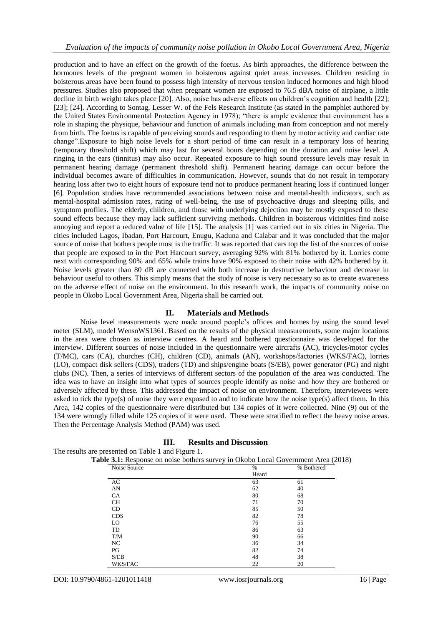production and to have an effect on the growth of the foetus. As birth approaches, the difference between the hormones levels of the pregnant women in boisterous against quiet areas increases. Children residing in boisterous areas have been found to possess high intensity of nervous tension induced hormones and high blood pressures. Studies also proposed that when pregnant women are exposed to 76.5 dBA noise of airplane, a little decline in birth weight takes place [20]. Also, noise has adverse effects on children's cognition and health [22]; [23]; [24]. According to Sontag, Lesser W. of the Fels Research Institute (as stated in the pamphlet authored by the United States Environmental Protection Agency in 1978); "there is ample evidence that environment has a role in shaping the physique, behaviour and function of animals including man from conception and not merely from birth. The foetus is capable of perceiving sounds and responding to them by motor activity and cardiac rate change".Exposure to high noise levels for a short period of time can result in a temporary loss of hearing (temporary threshold shift) which may last for several hours depending on the duration and noise level. A ringing in the ears (tinnitus) may also occur. Repeated exposure to high sound pressure levels may result in permanent hearing damage (permanent threshold shift). Permanent hearing damage can occur before the individual becomes aware of difficulties in communication. However, sounds that do not result in temporary hearing loss after two to eight hours of exposure tend not to produce permanent hearing loss if continued longer [6]. Population studies have recommended associations between noise and mental-health indicators, such as mental-hospital admission rates, rating of well-being, the use of psychoactive drugs and sleeping pills, and symptom profiles. The elderly, children, and those with underlying dejection may be mostly exposed to these sound effects because they may lack sufficient surviving methods. Children in boisterous vicinities find noise annoying and report a reduced value of life [15]. The analysis [1] was carried out in six cities in Nigeria. The cities included Lagos, Ibadan, Port Harcourt, Enugu, Kaduna and Calabar and it was concluded that the major source of noise that bothers people most is the traffic. It was reported that cars top the list of the sources of noise that people are exposed to in the Port Harcourt survey, averaging 92% with 81% bothered by it. Lorries come next with corresponding 90% and 65% while trains have 90% exposed to their noise with 42% bothered by it. Noise levels greater than 80 dB are connected with both increase in destructive behaviour and decrease in behaviour useful to others. This simply means that the study of noise is very necessary so as to create awareness on the adverse effect of noise on the environment. In this research work, the impacts of community noise on people in Okobo Local Government Area, Nigeria shall be carried out.

#### **II. Materials and Methods**

Noise level measurements were made around people's offices and homes by using the sound level meter (SLM), model WensnWS1361. Based on the results of the physical measurements, some major locations in the area were chosen as interview centres. A heard and bothered questionnaire was developed for the interview. Different sources of noise included in the questionnaire were aircrafts (AC), tricycles/motor cycles (T/MC), cars (CA), churches (CH), children (CD), animals (AN), workshops/factories (WKS/FAC), lorries (LO), compact disk sellers (CDS), traders (TD) and ships/engine boats (S/EB), power generator (PG) and night clubs (NC). Then, a series of interviews of different sectors of the population of the area was conducted. The idea was to have an insight into what types of sources people identify as noise and how they are bothered or adversely affected by these. This addressed the impact of noise on environment. Therefore, interviewees were asked to tick the type(s) of noise they were exposed to and to indicate how the noise type(s) affect them. In this Area, 142 copies of the questionnaire were distributed but 134 copies of it were collected. Nine (9) out of the 134 were wrongly filled while 125 copies of it were used. These were stratified to reflect the heavy noise areas. Then the Percentage Analysis Method (PAM) was used.

| The results are presented on Table 1 and Figure 1.                                |               |            |
|-----------------------------------------------------------------------------------|---------------|------------|
| Table 3.1: Response on noise bothers survey in Okobo Local Government Area (2018) |               |            |
| Noise Source                                                                      | $\frac{0}{0}$ | % Bothered |
|                                                                                   | Heard         |            |
| AC                                                                                | 63            | 61         |
| AN                                                                                | 62            | 40         |
| CA.                                                                               | 80            | 68         |
| <b>CH</b>                                                                         | 71            | 70         |
| CD                                                                                | 85            | 50         |
| <b>CDS</b>                                                                        | 82            | 78         |
| LO.                                                                               | 76            | 55         |
| TD                                                                                | 86            | 63         |
| T/M                                                                               | 90            | 66         |
| NC.                                                                               | 36            | 34         |
| PG                                                                                | 82            | 74         |
| S/EB                                                                              | 48            | 38         |
| WKS/FAC                                                                           | 22            | 20         |

#### **III. Results and Discussion**

DOI: 10.9790/4861-1201011418 www.iosrjournals.org 16 | Page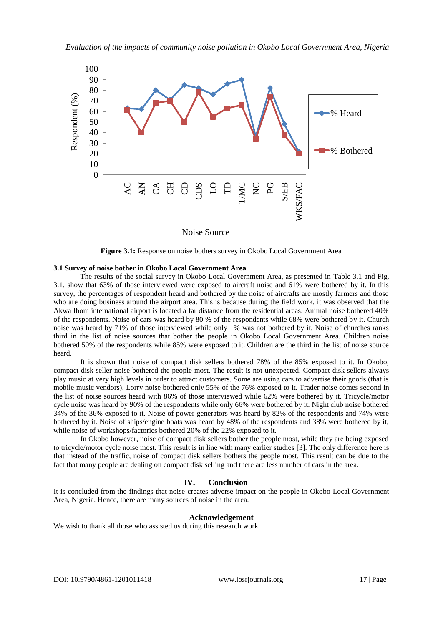

**Figure 3.1:** Response on noise bothers survey in Okobo Local Government Area

#### **3.1 Survey of noise bother in Okobo Local Government Area**

The results of the social survey in Okobo Local Government Area, as presented in Table 3.1 and Fig. 3.1, show that 63% of those interviewed were exposed to aircraft noise and 61% were bothered by it. In this survey, the percentages of respondent heard and bothered by the noise of aircrafts are mostly farmers and those who are doing business around the airport area. This is because during the field work, it was observed that the Akwa Ibom international airport is located a far distance from the residential areas. Animal noise bothered 40% of the respondents. Noise of cars was heard by 80 % of the respondents while 68% were bothered by it. Church noise was heard by 71% of those interviewed while only 1% was not bothered by it. Noise of churches ranks third in the list of noise sources that bother the people in Okobo Local Government Area. Children noise bothered 50% of the respondents while 85% were exposed to it. Children are the third in the list of noise source heard.

It is shown that noise of compact disk sellers bothered 78% of the 85% exposed to it. In Okobo, compact disk seller noise bothered the people most. The result is not unexpected. Compact disk sellers always play music at very high levels in order to attract customers. Some are using cars to advertise their goods (that is mobile music vendors). Lorry noise bothered only 55% of the 76% exposed to it. Trader noise comes second in the list of noise sources heard with 86% of those interviewed while 62% were bothered by it. Tricycle/motor cycle noise was heard by 90% of the respondents while only 66% were bothered by it. Night club noise bothered 34% of the 36% exposed to it. Noise of power generators was heard by 82% of the respondents and 74% were bothered by it. Noise of ships/engine boats was heard by 48% of the respondents and 38% were bothered by it, while noise of workshops/factories bothered 20% of the 22% exposed to it.

In Okobo however, noise of compact disk sellers bother the people most, while they are being exposed to tricycle/motor cycle noise most. This result is in line with many earlier studies [3]. The only difference here is that instead of the traffic, noise of compact disk sellers bothers the people most. This result can be due to the fact that many people are dealing on compact disk selling and there are less number of cars in the area.

#### **IV. Conclusion**

It is concluded from the findings that noise creates adverse impact on the people in Okobo Local Government Area, Nigeria. Hence, there are many sources of noise in the area.

### **Acknowledgement**

We wish to thank all those who assisted us during this research work.